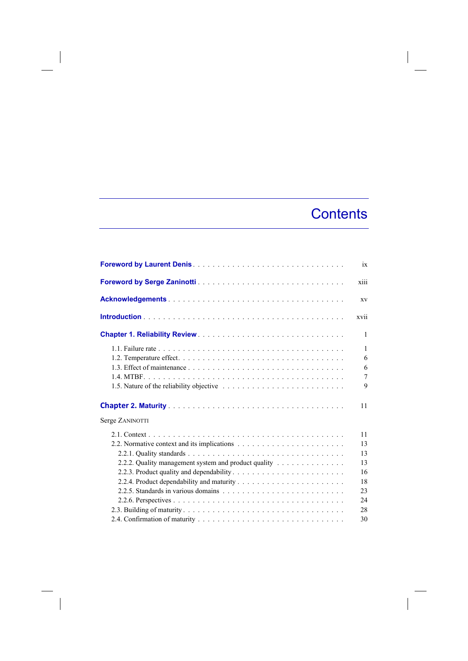## **Contents**

 $\overline{\phantom{a}}$ 

|                                                      | ix             |
|------------------------------------------------------|----------------|
|                                                      | xiii           |
|                                                      | XV             |
|                                                      | xvii           |
|                                                      | 1              |
|                                                      | 1              |
|                                                      | 6              |
|                                                      | 6              |
|                                                      | $\overline{7}$ |
|                                                      | 9              |
|                                                      | 11             |
| Serge ZANINOTTI                                      |                |
|                                                      | 11             |
|                                                      | 13             |
|                                                      | 13             |
| 2.2.2. Quality management system and product quality | 13             |
|                                                      | 16             |
|                                                      | 18             |
|                                                      | 23             |
|                                                      | 24             |
|                                                      | 28             |
|                                                      | 30             |

 $\begin{array}{c} \hline \end{array}$ 

 $\overline{\phantom{a}}$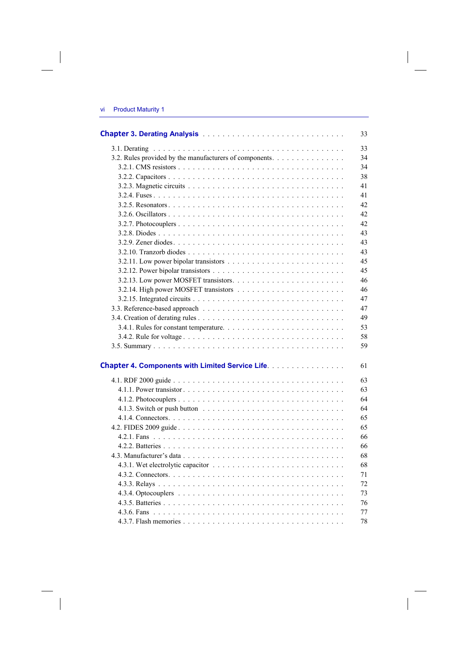$\overline{\phantom{a}}$ 

 $\overline{\phantom{a}}$ 

|                                                         | 33 |
|---------------------------------------------------------|----|
|                                                         | 33 |
| 3.2. Rules provided by the manufacturers of components. | 34 |
|                                                         | 34 |
|                                                         | 38 |
|                                                         | 41 |
|                                                         | 41 |
|                                                         | 42 |
|                                                         | 42 |
|                                                         | 42 |
|                                                         | 43 |
|                                                         | 43 |
|                                                         | 43 |
|                                                         | 45 |
|                                                         | 45 |
|                                                         | 46 |
|                                                         | 46 |
|                                                         | 47 |
|                                                         | 47 |
|                                                         | 49 |
|                                                         | 53 |
|                                                         | 58 |
|                                                         | 59 |
|                                                         |    |
| <b>Chapter 4. Components with Limited Service Life.</b> | 61 |
|                                                         | 63 |
|                                                         | 63 |
|                                                         | 64 |
|                                                         | 64 |
|                                                         | 65 |
|                                                         | 65 |
|                                                         | 66 |
|                                                         | 66 |
|                                                         | 68 |
|                                                         | 68 |
|                                                         | 71 |
|                                                         | 72 |
|                                                         | 73 |
|                                                         | 76 |
|                                                         | 77 |
|                                                         | 78 |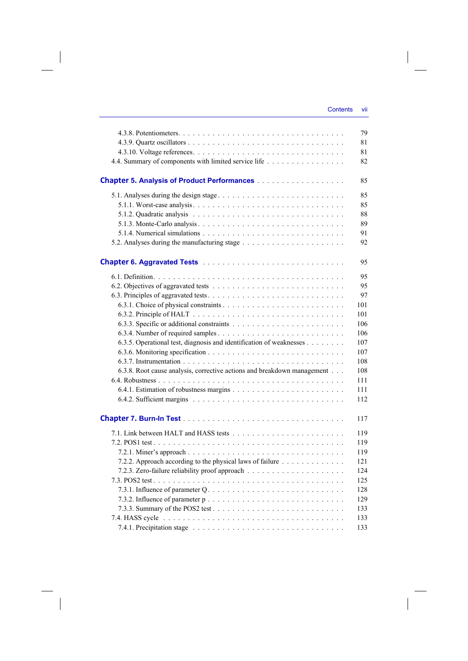$\overline{\phantom{a}}$ 

|                                                                         | 79  |
|-------------------------------------------------------------------------|-----|
|                                                                         | 81  |
|                                                                         | 81  |
| 4.4. Summary of components with limited service life                    | 82  |
|                                                                         |     |
|                                                                         | 85  |
|                                                                         | 85  |
|                                                                         | 85  |
|                                                                         | 88  |
|                                                                         | 89  |
|                                                                         | 91  |
|                                                                         | 92  |
|                                                                         |     |
|                                                                         | 95  |
|                                                                         | 95  |
|                                                                         | 95  |
|                                                                         | 97  |
|                                                                         | 101 |
|                                                                         | 101 |
|                                                                         | 106 |
|                                                                         | 106 |
| 6.3.5. Operational test, diagnosis and identification of weaknesses     | 107 |
|                                                                         | 107 |
|                                                                         | 108 |
| 6.3.8. Root cause analysis, corrective actions and breakdown management | 108 |
|                                                                         | 111 |
|                                                                         | 111 |
|                                                                         |     |
|                                                                         | 112 |
|                                                                         | 117 |
|                                                                         | 119 |
|                                                                         | 119 |
|                                                                         | 119 |
| 7.2.2. Approach according to the physical laws of failure               | 121 |
|                                                                         | 124 |
|                                                                         | 125 |
|                                                                         | 128 |
|                                                                         | 129 |
|                                                                         | 133 |
|                                                                         | 133 |
|                                                                         | 133 |
|                                                                         |     |

 $\overline{\phantom{a}}$ 

 $\begin{array}{c} \begin{array}{c} \end{array} \end{array}$